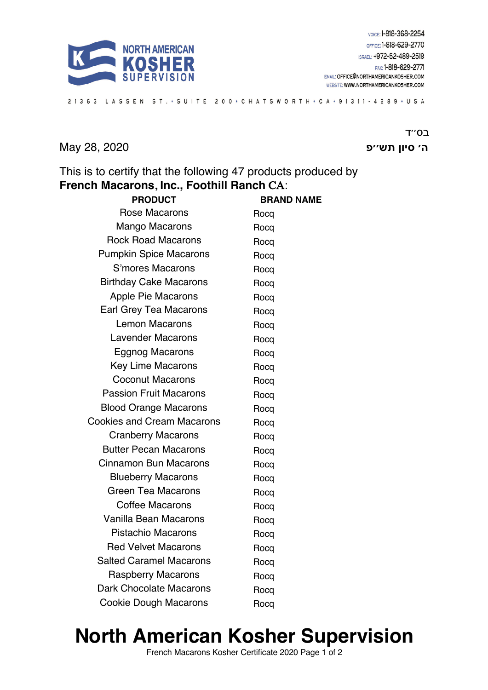

21363 LASSEN ST. • SUITE 200 • CHATSWORTH • CA • 91311 - 4289 • USA

**ה׳ ןויס שת פ׳׳** 2020 28, May

ב<sub>0</sub>"ד

This is to certify that the following 47 products produced by **French Macarons**, **Inc., Foothill Ranch** CA:

| <b>PRODUCT</b>                    | <b>BRAND NAME</b> |
|-----------------------------------|-------------------|
| <b>Rose Macarons</b>              | Rocq              |
| <b>Mango Macarons</b>             | Rocq              |
| <b>Rock Road Macarons</b>         | Rocq              |
| <b>Pumpkin Spice Macarons</b>     | Rocq              |
| S'mores Macarons                  | Rocq              |
| <b>Birthday Cake Macarons</b>     | Rocq              |
| Apple Pie Macarons                | Rocq              |
| Earl Grey Tea Macarons            | Rocq              |
| <b>Lemon Macarons</b>             | Rocq              |
| <b>Lavender Macarons</b>          | Rocq              |
| <b>Eggnog Macarons</b>            | Rocq              |
| Key Lime Macarons                 | Rocq              |
| <b>Coconut Macarons</b>           | Rocq              |
| <b>Passion Fruit Macarons</b>     | Rocq              |
| <b>Blood Orange Macarons</b>      | Rocq              |
| <b>Cookies and Cream Macarons</b> | Rocq              |
| <b>Cranberry Macarons</b>         | Rocq              |
| <b>Butter Pecan Macarons</b>      | Rocq              |
| <b>Cinnamon Bun Macarons</b>      | Rocq              |
| <b>Blueberry Macarons</b>         | Rocq              |
| Green Tea Macarons                | Rocq              |
| <b>Coffee Macarons</b>            | Rocq              |
| <b>Vanilla Bean Macarons</b>      | Rocq              |
| <b>Pistachio Macarons</b>         | Rocq              |
| <b>Red Velvet Macarons</b>        | Rocq              |
| <b>Salted Caramel Macarons</b>    | Rocq              |
| <b>Raspberry Macarons</b>         | Rocq              |
| Dark Chocolate Macarons           | Rocq              |
| <b>Cookie Dough Macarons</b>      | Rocq              |

## **North American Kosher Supervision**

French Macarons Kosher Certificate 2020 Page 1 of 2